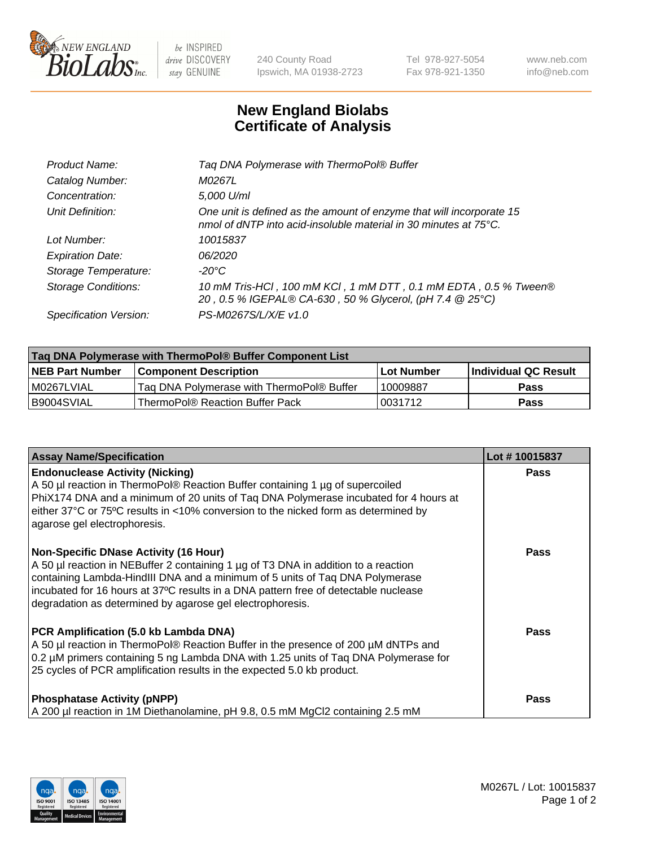

 $be$  INSPIRED drive DISCOVERY stay GENUINE

240 County Road Ipswich, MA 01938-2723 Tel 978-927-5054 Fax 978-921-1350 www.neb.com info@neb.com

## **New England Biolabs Certificate of Analysis**

| Product Name:              | Tag DNA Polymerase with ThermoPol® Buffer                                                                                                |
|----------------------------|------------------------------------------------------------------------------------------------------------------------------------------|
| Catalog Number:            | M0267L                                                                                                                                   |
| Concentration:             | 5,000 U/ml                                                                                                                               |
| Unit Definition:           | One unit is defined as the amount of enzyme that will incorporate 15<br>nmol of dNTP into acid-insoluble material in 30 minutes at 75°C. |
| Lot Number:                | 10015837                                                                                                                                 |
| <b>Expiration Date:</b>    | 06/2020                                                                                                                                  |
| Storage Temperature:       | $-20^{\circ}$ C                                                                                                                          |
| <b>Storage Conditions:</b> | 10 mM Tris-HCl, 100 mM KCl, 1 mM DTT, 0.1 mM EDTA, 0.5 % Tween®<br>20, 0.5 % IGEPAL® CA-630, 50 % Glycerol, (pH 7.4 @ 25°C)              |
| Specification Version:     | PS-M0267S/L/X/E v1.0                                                                                                                     |

| Taq DNA Polymerase with ThermoPol® Buffer Component List |                                           |                   |                      |  |
|----------------------------------------------------------|-------------------------------------------|-------------------|----------------------|--|
| <b>NEB Part Number</b>                                   | <b>Component Description</b>              | <b>Lot Number</b> | Individual QC Result |  |
| I M0267LVIAL                                             | Taq DNA Polymerase with ThermoPol® Buffer | 10009887          | <b>Pass</b>          |  |
| I B9004SVIAL                                             | ThermoPol® Reaction Buffer Pack           | 10031712          | Pass                 |  |

| <b>Assay Name/Specification</b>                                                                                                                                                                                                                                                                                                                                        | Lot #10015837 |
|------------------------------------------------------------------------------------------------------------------------------------------------------------------------------------------------------------------------------------------------------------------------------------------------------------------------------------------------------------------------|---------------|
| <b>Endonuclease Activity (Nicking)</b><br>A 50 µl reaction in ThermoPol® Reaction Buffer containing 1 µg of supercoiled<br>PhiX174 DNA and a minimum of 20 units of Taq DNA Polymerase incubated for 4 hours at<br>either 37°C or 75°C results in <10% conversion to the nicked form as determined by<br>agarose gel electrophoresis.                                  | Pass          |
| <b>Non-Specific DNase Activity (16 Hour)</b><br>A 50 µl reaction in NEBuffer 2 containing 1 µg of T3 DNA in addition to a reaction<br>containing Lambda-HindIII DNA and a minimum of 5 units of Taq DNA Polymerase<br>incubated for 16 hours at 37°C results in a DNA pattern free of detectable nuclease<br>degradation as determined by agarose gel electrophoresis. | Pass          |
| PCR Amplification (5.0 kb Lambda DNA)<br>A 50 µl reaction in ThermoPol® Reaction Buffer in the presence of 200 µM dNTPs and<br>0.2 µM primers containing 5 ng Lambda DNA with 1.25 units of Taq DNA Polymerase for<br>25 cycles of PCR amplification results in the expected 5.0 kb product.                                                                           | Pass          |
| <b>Phosphatase Activity (pNPP)</b><br>A 200 µl reaction in 1M Diethanolamine, pH 9.8, 0.5 mM MgCl2 containing 2.5 mM                                                                                                                                                                                                                                                   | Pass          |